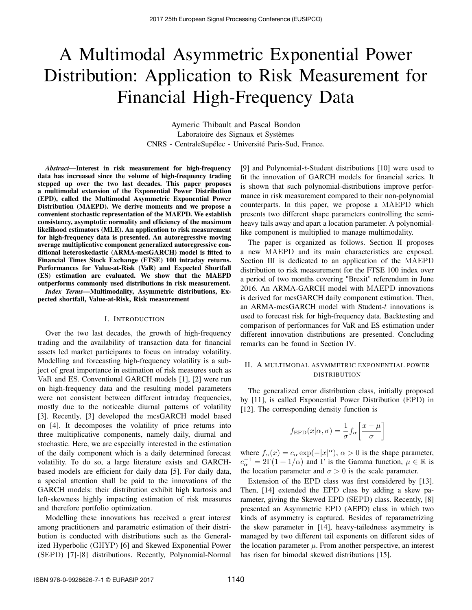# A Multimodal Asymmetric Exponential Power Distribution: Application to Risk Measurement for Financial High-Frequency Data

Aymeric Thibault and Pascal Bondon Laboratoire des Signaux et Systèmes CNRS - CentraleSupélec - Université Paris-Sud, France.

*Abstract*—Interest in risk measurement for high-frequency data has increased since the volume of high-frequency trading stepped up over the two last decades. This paper proposes a multimodal extension of the Exponential Power Distribution (EPD), called the Multimodal Asymmetric Exponential Power Distribution (MAEPD). We derive moments and we propose a convenient stochastic representation of the MAEPD. We establish consistency, asymptotic normality and efficiency of the maximum likelihood estimators (MLE). An application to risk measurement for high-frequency data is presented. An autoregressive moving average multiplicative component generalized autoregressive conditional heteroskedastic (ARMA-mcsGARCH) model is fitted to Financial Times Stock Exchange (FTSE) 100 intraday returns. Performances for Value-at-Risk (VaR) and Expected Shortfall (ES) estimation are evaluated. We show that the MAEPD outperforms commonly used distributions in risk measurement.

*Index Terms*—Multimodality, Asymmetric distributions, Expected shortfall, Value-at-Risk, Risk measurement

## I. INTRODUCTION

Over the two last decades, the growth of high-frequency trading and the availability of transaction data for financial assets led market participants to focus on intraday volatility. Modelling and forecasting high-frequency volatility is a subject of great importance in estimation of risk measures such as VaR and ES. Conventional GARCH models [1], [2] were run on high-frequency data and the resulting model parameters were not consistent between different intraday frequencies, mostly due to the noticeable diurnal patterns of volatility [3]. Recently, [3] developed the mcsGARCH model based on [4]. It decomposes the volatility of price returns into three multiplicative components, namely daily, diurnal and stochastic. Here, we are especially interested in the estimation of the daily component which is a daily determined forecast volatility. To do so, a large literature exists and GARCHbased models are efficient for daily data [5]. For daily data, a special attention shall be paid to the innovations of the GARCH models: their distribution exhibit high kurtosis and left-skewness highly impacting estimation of risk measures and therefore portfolio optimization.

Modelling these innovations has received a great interest among practitioners and parametric estimation of their distribution is conducted with distributions such as the Generalized Hyperbolic (GHYP) [6] and Skewed Exponential Power (SEPD) [7]-[8] distributions. Recently, Polynomial-Normal

[9] and Polynomial-t-Student distributions [10] were used to fit the innovation of GARCH models for financial series. It is shown that such polynomial-distributions improve performance in risk measurement compared to their non-polynomial counterparts. In this paper, we propose a MAEPD which presents two different shape parameters controlling the semiheavy tails away and apart a location parameter. A polynomiallike component is multiplied to manage multimodality.

The paper is organized as follows. Section II proposes a new MAEPD and its main characteristics are exposed. Section III is dedicated to an application of the MAEPD distribution to risk measurement for the FTSE 100 index over a period of two months covering "Brexit" referendum in June 2016. An ARMA-GARCH model with MAEPD innovations is derived for mcsGARCH daily component estimation. Then, an ARMA-mcsGARCH model with Student-t innovations is used to forecast risk for high-frequency data. Backtesting and comparison of performances for VaR and ES estimation under different innovation distributions are presented. Concluding remarks can be found in Section IV.

# II. A MULTIMODAL ASYMMETRIC EXPONENTIAL POWER DISTRIBUTION

The generalized error distribution class, initially proposed by [11], is called Exponential Power Distribution (EPD) in [12]. The corresponding density function is

$$
f_{\rm EPD}(x|\alpha, \sigma) = \frac{1}{\sigma} f_{\alpha} \left[ \frac{x - \mu}{\sigma} \right]
$$

where  $f_{\alpha}(x) = c_{\alpha} \exp(-|x|^{\alpha})$ ,  $\alpha > 0$  is the shape parameter,  $c_{\alpha}^{-1} = 2\Gamma(1 + 1/\alpha)$  and  $\Gamma$  is the Gamma function,  $\mu \in \mathbb{R}$  is the location parameter and  $\sigma > 0$  is the scale parameter.

Extension of the EPD class was first considered by [13]. Then, [14] extended the EPD class by adding a skew parameter, giving the Skewed EPD (SEPD) class. Recently, [8] presented an Asymmetric EPD (AEPD) class in which two kinds of asymmetry is captured. Besides of reparametrizing the skew parameter in [14], heavy-tailedness asymmetry is managed by two different tail exponents on different sides of the location parameter  $\mu$ . From another perspective, an interest has risen for bimodal skewed distributions [15].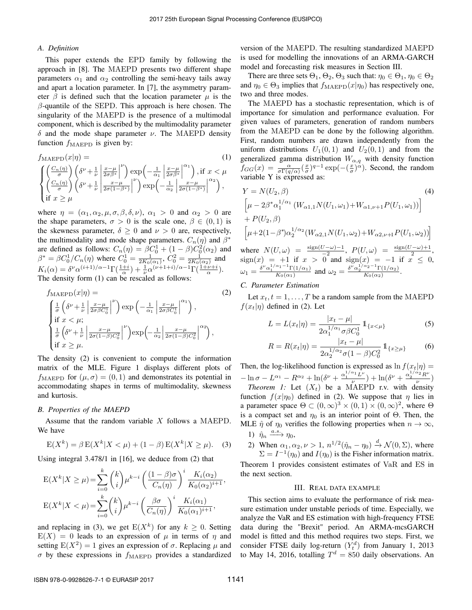# *A. Definition*

This paper extends the EPD family by following the approach in [8]. The MAEPD presents two different shape parameters  $\alpha_1$  and  $\alpha_2$  controlling the semi-heavy tails away and apart a location parameter. In [7], the asymmetry parameter  $\beta$  is defined such that the location parameter  $\mu$  is the  $\beta$ -quantile of the SEPD. This approach is here chosen. The singularity of the MAEPD is the presence of a multimodal component, which is described by the multimodality parameter δ and the mode shape parameter ν. The MAEPD density function  $f_{\text{MAEPD}}$  is given by:

$$
f_{\text{MAEPD}}(x|\eta) = (1)
$$
\n
$$
\begin{cases}\n\left(\frac{C_n(\eta)}{\sigma}\right) \left(\delta^{\nu} + \frac{1}{\nu} \left| \frac{x-\mu}{2\sigma\beta^*} \right|^{\nu}\right) \exp\left(-\frac{1}{\alpha_1} \left| \frac{x-\mu}{2\sigma\beta^*} \right|^{\alpha_1}\right), \text{if } x < \mu \\
\left(\frac{C_n(\eta)}{\sigma}\right) \left(\delta^{\nu} + \frac{1}{\nu} \left| \frac{x-\mu}{2\sigma(1-\beta^*)} \right|^{\nu}\right) \exp\left(-\frac{1}{\alpha_2} \left| \frac{x-\mu}{2\sigma(1-\beta^*)} \right|^{\alpha_2}\right), \\
\text{if } x \ge \mu\n\end{cases}
$$

where  $\eta = (\alpha_1, \alpha_2, \mu, \sigma, \beta, \delta, \nu)$ ,  $\alpha_1 > 0$  and  $\alpha_2 > 0$  are the shape parameters,  $\sigma > 0$  is the scale one,  $\beta \in (0,1)$  is the skewness parameter,  $\delta \geq 0$  and  $\nu > 0$  are, respectively, the multimodality and mode shape parameters.  $C_n(\eta)$  and  $\beta^*$ are defined as follows:  $C_n(\eta) = \beta C_0^1 + (1 - \beta)C_0^2(\alpha_2)$  and  $\beta^* = \beta C_0^1/C_n(\eta)$  where  $C_0^1 = \frac{1}{2K_0(\alpha_1)}$ ,  $C_0^2 = \frac{1}{2K_0(\alpha_2)}$  and  $K_i(\alpha) = \delta^{\nu} \alpha^{(i+1)/\alpha-1} \Gamma(\frac{1+i}{\alpha}) + \frac{1}{\nu} \alpha^{(\nu+1+i)/\alpha-1} \Gamma(\frac{1+\nu+i}{\alpha}).$ The density form (1) can be rescaled as follows:

$$
f_{\text{MAEPD}}(x|\eta) =
$$
\n
$$
\int \frac{1}{\sigma} \left( \delta^{\nu} + \frac{1}{\nu} \left| \frac{x - \mu}{2\sigma \beta C_0^1} \right|^{\nu} \right) \exp\left( -\frac{1}{\alpha_1} \left| \frac{x - \mu}{2\sigma \beta C_0^1} \right|^{\alpha_1} \right),
$$
\nif  $x < \mu$ ; (2)

$$
\begin{cases}\n\frac{1}{\sigma} \left( \delta^{\nu} + \frac{1}{\nu} \left| \frac{x - \mu}{2\sigma (1 - \beta) C_0^2} \right|^\nu \right) \exp\left( -\frac{1}{\alpha_2} \left| \frac{x - \mu}{2\sigma (1 - \beta) C_0^2} \right|^{\alpha_2} \right), \\
\text{if } x \geq \mu.\n\end{cases}
$$

The density (2) is convenient to compute the information matrix of the MLE. Figure 1 displays different plots of  $f_{\text{MAEPD}}$  for  $(\mu, \sigma) = (0, 1)$  and demonstrates its potential in accommodating shapes in terms of multimodality, skewness and kurtosis.

## *B. Properties of the MAEPD*

Assume that the random variable  $X$  follows a MAEPD. We have

$$
E(X^{k}) = \beta E(X^{k}|X < \mu) + (1 - \beta) E(X^{k}|X \ge \mu).
$$
 (3)

Using integral 3.478/1 in [16], we deduce from (2) that

$$
E(X^k|X \ge \mu) = \sum_{i=0}^k {k \choose i} \mu^{k-i} \left(\frac{(1-\beta)\sigma}{C_n(\eta)}\right)^i \frac{K_i(\alpha_2)}{K_0(\alpha_2)^{i+1}},
$$
  

$$
E(X^k|X < \mu) = \sum_{i=0}^k {k \choose i} \mu^{k-i} \left(\frac{\beta\sigma}{C_n(\eta)}\right)^i \frac{K_i(\alpha_1)}{K_0(\alpha_1)^{i+1}},
$$

and replacing in (3), we get  $E(X^k)$  for any  $k \geq 0$ . Setting  $E(X) = 0$  leads to an expression of  $\mu$  in terms of  $\eta$  and setting  $E(X^2) = 1$  gives an expression of  $\sigma$ . Replacing  $\mu$  and  $\sigma$  by these expressions in  $f_{\text{MAEPD}}$  provides a standardized

version of the MAEPD. The resulting standardized MAEPD is used for modelling the innovations of an ARMA-GARCH model and forecasting risk measures in Section III.

There are three sets  $\Theta_1$ ,  $\Theta_2$ ,  $\Theta_3$  such that:  $\eta_0 \in \Theta_1$ ,  $\eta_0 \in \Theta_2$ and  $\eta_0 \in \Theta_3$  implies that  $f_{\text{MAEPD}}(x|\eta_0)$  has respectively one, two and three modes.

The MAEPD has a stochastic representation, which is of importance for simulation and performance evaluation. For given values of parameters, generation of random numbers from the MAEPD can be done by the following algorithm. First, random numbers are drawn independently from the uniform distributions  $U_1(0,1)$  and  $U_2(0,1)$  and from the generalized gamma distribution  $W_{\alpha,q}$  with density function  $f_{GG}(x) = \frac{\alpha}{\sigma \Gamma(q/\alpha)} \left(\frac{x}{\sigma}\right)^{q-1} \exp\left(-\left(\frac{x}{\sigma}\right)^{\alpha}\right)$ . Second, the random variable Y is expressed as:

$$
Y = N(U_2, \beta)
$$
\n
$$
\left[\mu - 2\beta^* \alpha_1^{1/\alpha_1} \left( W_{\alpha 1, 1} N(U_1, \omega_1) + W_{\alpha 1, \nu+1} P(U_1, \omega_1) \right)\right]
$$
\n
$$
+ P(U_2, \beta)
$$
\n
$$
\left[\mu + 2(1 - \beta^*) \alpha_2^{1/\alpha_2} \left( W_{\alpha 2, 1} N(U_1, \omega_2) + W_{\alpha 2, \nu+1} P(U_1, \omega_2) \right)\right]
$$
\nwhere  $N(U, \omega) = \frac{\text{sign}(U - \omega) - 1}{-2}$ ,  $P(U, \omega) = \frac{\text{sign}(U - \omega) + 1}{2}$ ,  $\text{sign}(x) = +1$  if  $x > 0$  and  $\text{sign}(x) = -1$  if  $x \le 0$ ,  $\omega_1 = \frac{\delta^{\nu} \alpha_1^{1/\alpha_1 - 1} \Gamma(1/\alpha_1)}{K_0(\alpha_1)}$  and  $\omega_2 = \frac{\delta^{\nu} \alpha_2^{1/\alpha_2 - 1} \Gamma(1/\alpha_2)}{K_0(\alpha_2)}$ .

# *C. Parameter Estimation*

Let  $x_t$ ,  $t = 1, \ldots, T$  be a random sample from the MAEPD  $f(x_t|\eta)$  defined in (2). Let

$$
L = L(x_t|\eta) = \frac{|x_t - \mu|}{2\alpha_1^{1/\alpha_1} \sigma \beta C_0^1} \mathbb{1}_{\{x < \mu\}}
$$
 (5)

$$
R = R(x_t|\eta) = \frac{|x_t - \mu|}{2\alpha_2^{1/\alpha_2} \sigma (1 - \beta) C_0^2} \mathbb{1}_{\{x \ge \mu\}}
$$
(6)

Then, the log-likelihood function is expressed as  $\ln f(x_t|\eta) =$  $-\ln \sigma - L^{\alpha_1} - R^{\alpha_2} + \ln(\delta^{\nu} + \frac{\alpha_1^{1/\alpha_1}L^{\nu}}{\nu})$  $\frac{\alpha_1 L^{\nu}}{\nu}$ ) +  $\ln(\delta^{\nu} + \frac{\alpha_2^{1/\alpha_2} R^{\nu}}{\nu})$  $\frac{n}{\nu}$ )

*Theorem 1:* Let  $(X_t)$  be a MAEPD r.v. with density function  $f(x|\eta_0)$  defined in (2). We suppose that  $\eta$  lies in a parameter space  $\Theta \subset (0,\infty)^3 \times (0,1) \times (0,\infty)^2$ , where  $\Theta$ is a compact set and  $\eta_0$  is an interior point of  $\Theta$ . Then, the MLE  $\hat{\eta}$  of  $\eta_0$  verifies the following properties when  $n \to \infty$ , 1)  $\hat{\eta}_n \xrightarrow{a.s.} \eta_0$ ,

2) When  $\alpha_1, \alpha_2, \nu > 1$ ,  $n^{1/2}(\hat{\eta}_n - \eta_0) \stackrel{d}{\rightarrow} \mathcal{N}(0, \Sigma)$ , where  $\Sigma = I^{-1}(\eta_0)$  and  $I(\eta_0)$  is the Fisher information matrix. Theorem 1 provides consistent estimates of VaR and ES in

the next section.

## III. REAL DATA EXAMPLE

This section aims to evaluate the performance of risk measure estimation under unstable periods of time. Especially, we analyze the VaR and ES estimation with high-frequency FTSE data during the "Brexit" period. An ARMA-mcsGARCH model is fitted and this method requires two steps. First, we consider FTSE daily log-return  $(Y_t^d)$  from January 1, 2013 to May 14, 2016, totalling  $T^d = 850$  daily observations. An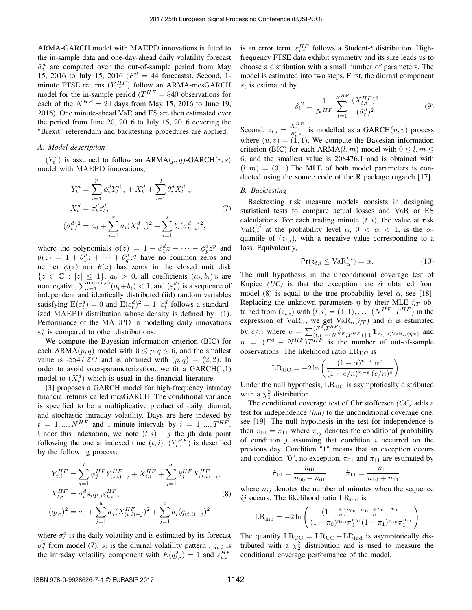ARMA-GARCH model with MAEPD innovations is fitted to the in-sample data and one-day-ahead daily volatility forecast  $\hat{\sigma}_t^d$  are computed over the out-of-sample period from May 15, 2016 to July 15, 2016 ( $F^d = 44$  forecasts). Second, 1minute FTSE returns  $(Y_{t,i}^{HF})$  follow an ARMA-mcsGARCH model for the in-sample period ( $T^{HF} = 840$  observations for each of the  $N^{HF} = 24$  days from May 15, 2016 to June 19, 2016). One minute-ahead VaR and ES are then estimated over the period from June 20, 2016 to July 15, 2016 covering the "Brexit" referendum and backtesting procedures are applied.

## *A. Model description*

 $(Y_t^d)$  is assumed to follow an ARMA $(p, q)$ -GARCH $(r, s)$ model with MAEPD innovations,

$$
Y_t^d = \sum_{i=1}^p \phi_i^d Y_{t-i}^d + X_t^d + \sum_{i=1}^q \theta_i^d X_{t-i}^d,
$$
  
\n
$$
X_t^d = \sigma_t^d \varepsilon_t^d,
$$
  
\n
$$
(\sigma_t^d)^2 = a_0 + \sum_{i=1}^r a_i (X_{t-i}^d)^2 + \sum_{i=1}^s b_i (\sigma_{t-i}^d)^2,
$$
\n(7)

where the polynomials  $\phi(z) = 1 - \phi_1^d z - \cdots - \phi_p^d z^p$  and  $\theta(z) = 1 + \theta_1^d z + \cdots + \theta_q^d z^q$  have no common zeros and neither  $\phi(z)$  nor  $\theta(z)$  has zeros in the closed unit disk  $\{z \in \mathbb{C} : |z| \leq 1\}, a_0 > 0$ , all coefficients  $(a_i, b_i)$ 's are nonnegative,  $\sum_{i=1}^{\max(r,s)} (a_i + b_i) < 1$ , and  $(\varepsilon_t^d)$  is a sequence of independent and identically distributed (iid) random variables satisfying  $E(\varepsilon_t^d) = 0$  and  $E(\varepsilon_t^d)^2 = 1$ .  $\varepsilon_t^d$  follows a standardized MAEPD distribution whose density is defined by (1). Performance of the MAEPD in modelling daily innovations  $\varepsilon_t^d$  is compared to other distributions.

We compute the Bayesian information criterion (BIC) for each ARMA $(p, q)$  model with  $0 \leq p, q \leq 6$ , and the smallest value is -5547.277 and is obtained with  $(p, q) = (2, 2)$ . In order to avoid over-parameterization, we fit a GARCH(1,1) model to  $(X_t^d)$  which is usual in the financial literature.

[3] proposes a GARCH model for high-frequency intraday financial returns called mcsGARCH. The conditional variance is specified to be a multiplicative product of daily, diurnal, and stochastic intraday volatility. Days are here indexed by  $t = 1, ..., N^{HF}$  and 1-minute intervals by  $i = 1, ..., T^{HF}$ . Under this indexation, we note  $(t, i) + j$  the jth data point following the one at indexed time  $(t, i)$ .  $(Y_{t,i}^{HF})$  is described by the following process:

$$
Y_{t,i}^{HF} = \sum_{j=1}^{l} \phi_j^{HF} Y_{(t,i)-j}^{HF} + X_{t,i}^{HF} + \sum_{j=1}^{m} \theta_j^{HF} X_{(t,i)-j}^{HF},
$$
  
\n
$$
X_{t,i}^{HF} = \sigma_t^d s_i q_{t,i} \varepsilon_{t,i}^{HF},
$$
  
\n
$$
(q_{t,i})^2 = a_0 + \sum_{j=1}^{u} a_j (X_{(t,i)-j}^{HF})^2 + \sum_{j=1}^{v} b_j (q_{(t,i)-j})^2
$$
 (8)

where  $\sigma_t^d$  is the daily volatility and is estimated by its forecast  $\hat{\sigma}_{t}^{d}$  from model (7),  $s_i$  is the diurnal volatility pattern,  $q_{t,i}$  is the intraday volatility component with  $E(q_{t,i}^2) = 1$  and  $\varepsilon_{t,i}^{HF}$ 

is an error term.  $\varepsilon_{t,i}^{HF}$  follows a Student-t distribution. Highfrequency FTSE data exhibit symmetry and its size leads us to choose a distribution with a small number of parameters. The model is estimated into two steps. First, the diurnal component  $s_i$  is estimated by

$$
\hat{s_i}^2 = \frac{1}{N^{HF}} \sum_{t=1}^{N^{HF}} \frac{(X_{t,i}^{HF})^2}{(\hat{\sigma}_t^d)^2}
$$
(9)

Second,  $z_{t,i} = \frac{X_{t,i}^{HF}}{\hat{\sigma}_t^d s_i}$  is modelled as a GARCH $(u, v)$  process where  $(u, v) = (1, 1)$ . We compute the Bayesian information criterion (BIC) for each ARMA $(l, m)$  model with  $0 \le l, m \le$ 6, and the smallest value is 208476.1 and is obtained with  $(l, m) = (3, 1)$ . The MLE of both model parameters is conducted using the source code of the R package rugarch [17].

# *B. Backtesting*

Backtesting risk measure models consists in designing statistical tests to compare actual losses and VaR or ES calculations. For each trading minute  $(t, i)$ , the value at risk Va $\mathrm{R}_{\alpha}^{t,i}$  at the probability level  $\alpha$ ,  $0 < \alpha < 1$ , is the  $\alpha$ quantile of  $(z_{t,i})$ , with a negative value corresponding to a loss. Equivalently,

$$
\Pr(z_{t,i} \le \text{VaR}_{\alpha}^{t,i}) = \alpha. \tag{10}
$$

.

.

The null hypothesis in the unconditional coverage test of Kupiec *(UC)* is that the exception rate  $\hat{\alpha}$  obtained from model (8) is equal to the true probability level  $\alpha$ , see [18]. Replacing the unknown parameters  $\eta$  by their MLE  $\hat{\eta}_T$  obtained from  $(z_{t,i})$  with  $(t, i) = (1, 1), \ldots, (N^{HF}, T^{HF})$  in the expression of Va $R_{\alpha}$ , we get Va $R_{\alpha}(\hat{\eta}_T)$  and  $\hat{\alpha}$  is estimated by  $e/n$  where  $e = \sum_{(t,i)=(N^{HF},T^{HF})+1}^{(F^d,T^{HF})} \mathbb{1}_{z_{t,i} < \text{VaR}_{\alpha}(\hat{\eta}_T)}$  and  $n = (F^d - N^{HF})T^{HF}$  is the number of out-of-sample observations. The likelihood ratio  $LR_{UC}$  is

$$
LR_{\rm UC} = -2\ln\left(\frac{(1-\alpha)^{n-e}\,\alpha^e}{(1-e/n)^{n-e}\,(e/n)^e}\right)
$$

Under the null hypothesis,  $LR_{UC}$  is asymptotically distributed with a  $\chi_1^2$  distribution.

The conditional coverage test of Christoffersen *(CC)* adds a test for independence *(ind)* to the unconditional coverage one, see [19]. The null hypothesis in the test for independence is then  $\pi_{01} = \pi_{11}$  where  $\pi_{ij}$  denotes the conditional probability of condition  $j$  assuming that condition  $i$  occurred on the previous day. Condition "1" means that an exception occurs and condition "0", no exception.  $\pi_{01}$  and  $\pi_{11}$  are estimated by

$$
\hat{\pi}_{01} = \frac{n_{01}}{n_{00} + n_{01}}, \qquad \hat{\pi}_{11} = \frac{n_{11}}{n_{10} + n_{11}}
$$

where  $n_{ij}$  denotes the number of minutes when the sequence ij occurs. The likelihood ratio  $LR_{ind}$  is

$$
LR_{ind} = -2 \ln \left( \frac{(1 - \frac{\epsilon}{n})^{n_{00} + n_{10}} \frac{\epsilon}{n}^{n_{01} + n_{11}}}{(1 - \pi_0)^{n_{00}} \pi_0^{n_{01}} (1 - \pi_1)^{n_{10}} \pi_1^{n_{11}}} \right)
$$

The quantity  $LR_{\text{CC}} = LR_{\text{UC}} + LR_{\text{ind}}$  is asymptotically distributed with a  $\chi^2$  distribution and is used to measure the conditional coverage performance of the model.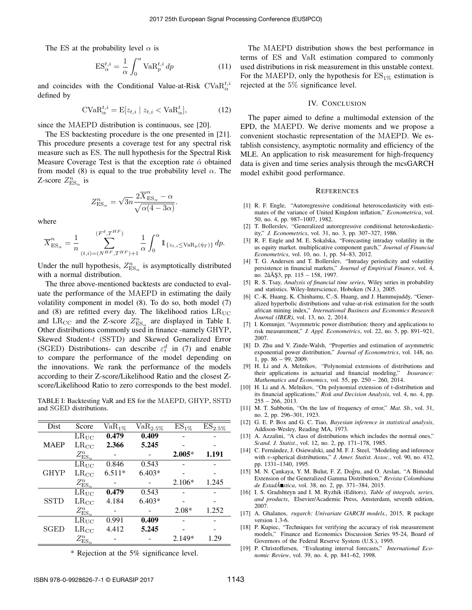The ES at the probability level  $\alpha$  is

$$
ES_{\alpha}^{t,i} = \frac{1}{\alpha} \int_0^{\alpha} \text{VaR}_p^{t,i} dp \tag{11}
$$

and coincides with the Conditional Value-at-Risk CVa $\mathrm{R}_\alpha^{t,i}$ defined by

$$
\text{CVaR}_{\alpha}^{t,i} = \text{E}[z_{t,i} \mid z_{t,i} < \text{VaR}_{\alpha}^t],\tag{12}
$$

since the MAEPD distribution is continuous, see [20].

The ES backtesting procedure is the one presented in [21]. This procedure presents a coverage test for any spectral risk measure such as ES. The null hypothesis for the Spectral Risk Measure Coverage Test is that the exception rate  $\hat{\alpha}$  obtained from model (8) is equal to the true probability level  $\alpha$ . The Z-score  $Z^n_{\text{ES}_\alpha}$  is

$$
Z^n_{\mathrm{ES}_\alpha} = \sqrt{3n} \frac{2 \overline{X}^n_{\mathrm{ES}_\alpha} - \alpha}{\sqrt{\alpha(4 - 3\alpha)}}.
$$

where

$$
\overline{X}_{\text{ES}_{\alpha}}^{n} = \frac{1}{n} \sum_{(t,i)=(N^{HF},T^{HF})+1}^{(F^{d},T^{HF})} \frac{1}{\alpha} \int_{0}^{\alpha} 1_{\{z_{t,i} \leq \text{VaR}_{p}(\hat{\eta}_{T})\}} dp.
$$

Under the null hypothesis,  $Z_{\text{ES}_\alpha}^n$  is asymptotically distributed with a normal distribution.

The three above-mentioned backtests are conducted to evaluate the performance of the MAEPD in estimating the daily volatility component in model (8). To do so, both model (7) and (8) are refitted every day. The likelihood ratios  $LR_{\text{UC}}$ and LR<sub>CC</sub> and the Z-score  $Z_{\text{ES}_\alpha}^n$  are displayed in Table I. Other distributions commonly used in finance -namely GHYP, Skewed Student-t (SSTD) and Skewed Generalized Error (SGED) Distributions- can describe  $\varepsilon_t^d$  in (7) and enable to compare the performance of the model depending on the innovations. We rank the performance of the models according to their Z-score/Likelihood Ratio and the closest Zscore/Likelihood Ratio to zero corresponds to the best model.

TABLE I: Backtesting VaR and ES for the MAEPD, GHYP, SSTD and SGED distributions.

| Dist        | Score                      | $VaR_{1\%}$ | $VaR_{2.5\%}$ | $ES_{1\%}$ | $ES_{2.5\%}$ |
|-------------|----------------------------|-------------|---------------|------------|--------------|
| <b>MAEP</b> | $LR_{UC}$                  | 0.479       | 0.409         |            |              |
|             | $LR_{\rm CC}$              | 2.366       | 5.245         |            |              |
|             | $Z^n_\mathrm{ES_\alpha}$   |             |               | $2.005*$   | 1.191        |
| <b>GHYP</b> | $LR_{UC}$                  | 0.846       | 0.543         |            |              |
|             | $LR_{CC}$                  | $6.511*$    | $6.403*$      |            |              |
|             | $Z^n_{\mathrm{ES}_\alpha}$ |             |               | $2.106*$   | 1.245        |
| <b>SSTD</b> | $LR_{UC}$                  | 0.479       | 0.543         |            |              |
|             | $LR_{CC}$                  | 4.184       | $6.403*$      |            |              |
|             | $Z^n_{\mathrm{ES}_\alpha}$ |             |               | $2.08*$    | 1.252        |
| SGED        | $LR_{UC}$                  | 0.991       | 0.409         |            |              |
|             | $LR_{\rm CC}$              | 4.412       | 5.245         |            |              |
|             | $Z^n_{\mathrm{ES}_c}$      |             |               | $2.149*$   | 1.29         |

\* Rejection at the 5% significance level.

The MAEPD distribution shows the best performance in terms of ES and VaR estimation compared to commonly used distributions in risk measurement in this unstable context. For the MAEPD, only the hypothesis for  $ES_{1\%}$  estimation is rejected at the 5% significance level.

## IV. CONCLUSION

The paper aimed to define a multimodal extension of the EPD, the MAEPD. We derive moments and we propose a convenient stochastic representation of the MAEPD. We establish consistency, asymptotic normality and efficiency of the MLE. An application to risk measurement for high-frequency data is given and time series analysis through the mcsGARCH model exhibit good performance.

#### **REFERENCES**

- [1] R. F. Engle, "Autoregressive conditional heteroscedasticity with estimates of the variance of United Kingdom inflation," *Econometrica*, vol. 50, no. 4, pp. 987–1007, 1982.
- [2] T. Bollerslev, "Generalized autoregressive conditional heteroskedasticity," *J. Econometrics*, vol. 31, no. 3, pp. 307–327, 1986.
- [3] R. F. Engle and M. E. Sokalska, "Forecasting intraday volatility in the us equity market. multiplicative component garch," *Journal of Financial Econometrics*, vol. 10, no. 1, pp. 54–83, 2012.
- [4] T. G. Andersen and T. Bollerslev, "Intraday periodicity and volatility persistence in financial markets," *Journal of Empirical Finance*, vol. 4, no. 2âÅ Ş3, pp. 115 - 158, 1997.
- [5] R. S. Tsay, *Analysis of financial time series*, Wiley series in probability and statistics. Wiley-Interscience, Hoboken (N.J.), 2005.
- [6] C.-K. Huang, K. Chinhamu, C.-S. Huang, and J. Hammujuddy, "Generalized hyperbolic distributions and value-at-risk estimation for the south african mining index," *International Business and Economics Research Journal (IBER)*, vol. 13, no. 2, 2014.
- [7] I. Komunjer, "Asymmetric power distribution: theory and applications to risk measurement," *J. Appl. Econometrics*, vol. 22, no. 5, pp. 891–921, 2007.
- [8] D. Zhu and V. Zinde-Walsh, "Properties and estimation of asymmetric exponential power distribution," *Journal of Econometrics*, vol. 148, no. 1, pp. 86 – 99, 2009.
- [9] H. Li and A. Melnikov, "Polynomial extensions of distributions and their applications in actuarial and financial modeling," *Insurance: Mathematics and Economics*, vol. 55, pp. 250 – 260, 2014.
- [10] H. Li and A. Melnikov, "On polynomial extension of t-distribution and its financial applications," *Risk and Decision Analysis*, vol. 4, no. 4, pp. 255 – 266, 2013.
- [11] M. T. Subbotin, "On the law of frequency of error," *Mat. Sb.*, vol. 31, no. 2, pp. 296–301, 1923.
- [12] G. E. P. Box and G. C. Tiao, *Bayesian inference in statistical analysis*, Addison-Wesley, Reading MA, 1973.
- [13] A. Azzalini, "A class of distributions which includes the normal ones," *Scand. J. Statist.*, vol. 12, no. 2, pp. 171–178, 1985.
- [14] C. Fernández, J. Osiewalski, and M. F. J. Steel, "Modeling and inference with v-spherical distributions," *J. Amer. Statist. Assoc.*, vol. 90, no. 432, pp. 1331–1340, 1995.
- [15] M. N. Çankaya, Y. M. Bulut, F. Z. Doğru, and O. Arslan, "A Bimodal Extension of the Generalized Gamma Distribution," *Revista Colombiana de EstadÂ*■stica, vol. 38, no. 2, pp. 371–384, 2015.
- [16] I. S. Gradshteyn and I. M. Ryzhik (Editors), *Table of integrals, series, and products*, Elsevier/Academic Press, Amsterdam, seventh edition, 2007.
- [17] A. Ghalanos, *rugarch: Univariate GARCH models.*, 2015, R package version 1.3-6.
- [18] P. Kupiec, "Techniques for verifying the accuracy of risk measurement models," Finance and Economics Discussion Series 95-24, Board of Governors of the Federal Reserve System (U.S.), 1995.
- [19] P. Christoffersen, "Evaluating interval forecasts," *International Economic Review*, vol. 39, no. 4, pp. 841–62, 1998.